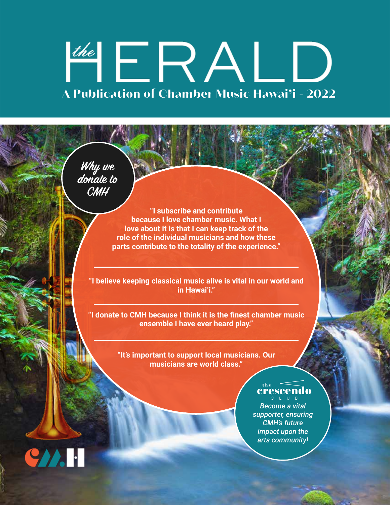# the ERALD **A Publication of Chamber Music Hawai'i - 2022**

**Why we donate to CMH**

> **"I subscribe and contribute because I love chamber music. What I love about it is that I can keep track of the role of the individual musicians and how these parts contribute to the totality of the experience."**

**"I believe keeping classical music alive is vital in our world and in Hawai'i."**

**"I donate to CMH because I think it is the finest chamber music ensemble I have ever heard play."**

> **"It's important to support local musicians. Our musicians are world class."**

## crescendo

*Become a vital supporter, ensuring CMH's future impact upon the arts community!*

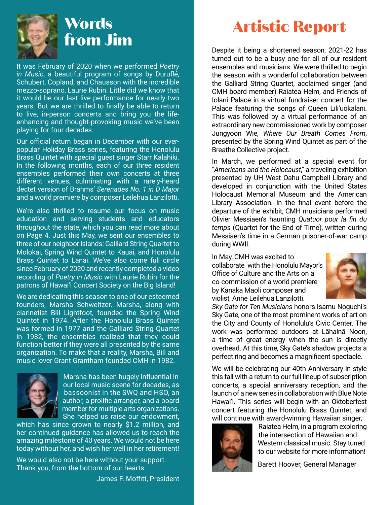

It was February of 2020 when we performed *Poetry in Music*, a beautiful program of songs by Duruflé, Schubert, Copland, and Chausson with the incredible mezzo-soprano, Laurie Rubin. Little did we know that it would be our last live performance for nearly two years. But we are thrilled to finally be able to return to live, in-person concerts and bring you the lifeenhancing and thought-provoking music we've been playing for four decades.

Our official return began in December with our everpopular Holiday Brass series, featuring the Honolulu Brass Quintet with special guest singer Starr Kalahiki. In the following months, each of our three resident ensembles performed their own concerts at three different venues, culminating with a rarely-heard dectet version of Brahms' *Serenades No. 1 in D Major* and a world premiere by composer Leilehua Lanzilotti.

We're also thrilled to resume our focus on music education and serving students and educators throughout the state, which you can read more about on Page 4. Just this May, we sent our ensembles to three of our neighbor islands: Galliard String Quartet to Molokai, Spring Wind Quintet to Kauai, and Honolulu Brass Quintet to Lanai. We've also come full circle since February of 2020 and recently completed a video recording of *Poetry in Music* with Laurie Rubin for the patrons of Hawai'i Concert Society on the Big Island!

We are dedicating this season to one of our esteemed founders, Marsha Schweitzer. Marsha, along with clarinetist Bill Lightfoot, founded the Spring Wind Quintet in 1974. After the Honolulu Brass Quintet was formed in 1977 and the Galliard String Quartet in 1982, the ensembles realized that they could function better if they were all presented by the same organization. To make that a reality, Marsha, Bill and music lover Grant Grantham founded CMH in 1982.



 Marsha has been hugely influential in our local music scene for decades, as bassoonist in the SWQ and HSO, an author, a prolific arranger, and a board member for multiple arts organizations. She helped us raise our endowment,

which has since grown to nearly \$1.2 million, and her continued guidance has allowed us to reach the amazing milestone of 40 years. We would not be here today without her, and wish her well in her retirement!

We would also not be here without your support. Thank you, from the bottom of our hearts.

James F. Moffitt, President

## **Artistic Report**

Despite it being a shortened season, 2021-22 has turned out to be a busy one for all of our resident ensembles and musicians. We were thrilled to begin the season with a wonderful collaboration between the Galliard String Quartet, acclaimed singer (and CMH board member) Raiatea Helm, and Friends of Iolani Palace in a virtual fundraiser concert for the Palace featuring the songs of Queen Lili'uokalani. This was followed by a virtual performance of an extraordinary new commissioned work by composer Jungyoon Wie, *Where Our Breath Comes From*, presented by the Spring Wind Quintet as part of the Breathe Collective project.

In March, we performed at a special event for "*Americans and the Holocaust*," a traveling exhibition presented by UH West Oahu Campbell Library and developed in conjunction with the United States Holocaust Memorial Museum and the American Library Association. In the final event before the departure of the exhibit, CMH musicians performed Olivier Messiaen's haunting *Quatuor pour la fin du temps* (Quartet for the End of Time), written during Messiaen's time in a German prisoner-of-war camp during WWII.

In May, CMH was excited to collaborate with the Honolulu Mayor's Office of Culture and the Arts on a co-commission of a world premiere by Kanaka Maoli composer and violist, Anne Leilehua Lanzilotti.



*Sky Gate for Ten Musicians* honors Isamu Noguchi's Sky Gate, one of the most prominent works of art on the City and County of Honolulu's Civic Center. The work was performed outdoors at Lāhainā Noon, a time of great energy when the sun is directly overhead. At this time, Sky Gate's shadow projects a perfect ring and becomes a magnificent spectacle.

We will be celebrating our 40th Anniversary in style this fall with a return to our full lineup of subscription concerts, a special anniversary reception, and the launch of a new series in collaboration with Blue Note Hawai'i. This series will begin with an Oktoberfest concert featuring the Honolulu Brass Quintet, and will continue with award-winning Hawaiian singer,



 Raiatea Helm, in a program exploring the intersection of Hawaiian and Western classical music. Stay tuned to our website for more information!

Barett Hoover, General Manager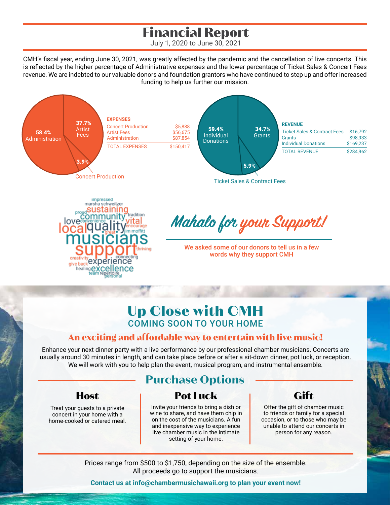## **Financial Report**

July 1, 2020 to June 30, 2021

CMH's fiscal year, ending June 30, 2021, was greatly affected by the pandemic and the cancellation of live concerts. This is reflected by the higher percentage of Administrative expenses and the lower percentage of Ticket Sales & Concert Fees revenue. We are indebted to our valuable donors and foundation grantors who have continued to step up and offer increased funding to help us further our mission.



Ticket Sales & Contract Fees



## **Mahalo for your Support!**

We asked some of our donors to tell us in a few words why they support CMH

## **Up Close with CMH** COMING SOON TO YOUR HOME

### **An exciting and affordable way to entertain with live music!**

Enhance your next dinner party with a live performance by our professional chamber musicians. Concerts are usually around 30 minutes in length, and can take place before or after a sit-down dinner, pot luck, or reception. We will work with you to help plan the event, musical program, and instrumental ensemble.

### **Host**

Treat your guests to a private concert in your home with a home-cooked or catered meal.

## **Purchase Options**

### **Pot Luck**

Invite your friends to bring a dish or wine to share, and have them chip in on the cost of the musicians. A fun and inexpensive way to experience live chamber music in the intimate setting of your home.

### **Gift**

Offer the gift of chamber music to friends or family for a special occasion, or to those who may be unable to attend our concerts in person for any reason.

Prices range from \$500 to \$1,750, depending on the size of the ensemble. All proceeds go to support the musicians.

**Contact us at info@chambermusichawaii.org to plan your event now!**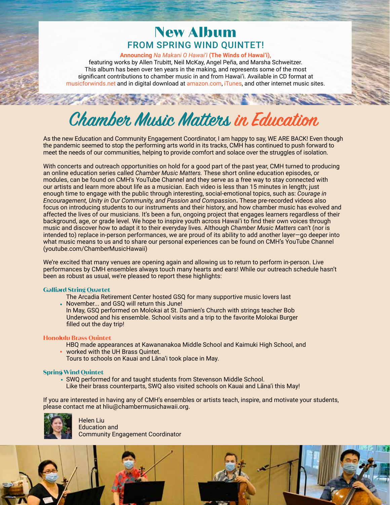### **New Album** FROM SPRING WIND QUINTET!

**Announcing** *Na Makani O Hawai'i* **(The Winds of Hawai'i),**

featuring works by Allen Trubitt, Neil McKay, Angel Peña, and Marsha Schweitzer. This album has been over ten years in the making, and represents some of the most significant contributions to chamber music in and from Hawai'i. Available in CD format at musicforwinds.net and in digital download at amazon.com, iTunes, and other internet music sites.

## **Chamber Music Matters in Education**

As the new Education and Community Engagement Coordinator, I am happy to say, WE ARE BACK! Even though the pandemic seemed to stop the performing arts world in its tracks, CMH has continued to push forward to meet the needs of our communities, helping to provide comfort and solace over the struggles of isolation.

With concerts and outreach opportunities on hold for a good part of the past year, CMH turned to producing an online education series called *Chamber Music Matters.* These short online education episodes, or modules, can be found on CMH's YouTube Channel and they serve as a free way to stay connected with our artists and learn more about life as a musician. Each video is less than 15 minutes in length; just enough time to engage with the public through interesting, social-emotional topics, such as: *Courage in Encouragement, Unity in Our Community, and Passion and Compassion*. These pre-recorded videos also focus on introducing students to our instruments and their history, and how chamber music has evolved and affected the lives of our musicians. It's been a fun, ongoing project that engages learners regardless of their background, age, or grade level. We hope to inspire youth across Hawai'i to find their own voices through music and discover how to adapt it to their everyday lives. Although *Chamber Music Matters* can't (nor is intended to) replace in-person performances, we are proud of its ability to add another layer—go deeper into what music means to us and to share our personal experiences can be found on CMH's YouTube Channel (youtube.com/ChamberMusicHawaii)

We're excited that many venues are opening again and allowing us to return to perform in-person. Live performances by CMH ensembles always touch many hearts and ears! While our outreach schedule hasn't been as robust as usual, we're pleased to report these highlights:

#### **Galliard String Quartet**

The Arcadia Retirement Center hosted GSQ for many supportive music lovers last

November... and GSQ will return this June! In May, GSQ performed on Molokai at St. Damien's Church with strings teacher Bob Underwood and his ensemble. School visits and a trip to the favorite Molokai Burger filled out the day trip!

#### **Honolulu Brass Quintet**

- HBQ made appearances at Kawananakoa Middle School and Kaimuki High School, and
- worked with the UH Brass Quintet.
	- Tours to schools on Kauai and Lāna'i took place in May.

#### **Spring Wind Quintet**

SWQ performed for and taught students from Stevenson Middle School. Like their brass counterparts, SWQ also visited schools on Kauai and Lāna'i this May!

If you are interested in having any of CMH's ensembles or artists teach, inspire, and motivate your students, please contact me at hliu@chambermusichawaii.org.



 Helen Liu Education and Community Engagement Coordinator

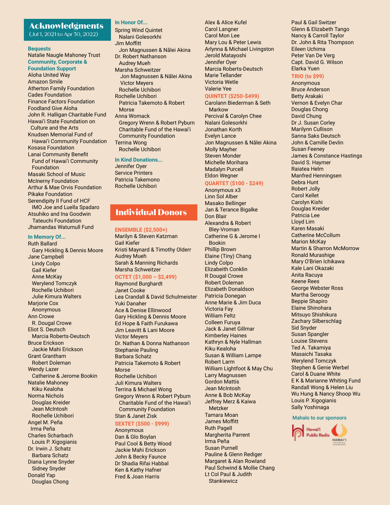#### **Acknowledgments**

(Jul 1, 2021 to Apr 30, 2022)

#### **Bequests**

Natalie Naugle Mahoney Trust **Community, Corporate & Foundation Support** Aloha United Way Amazon Smile Atherton Family Foundation Cades Foundation Finance Factors Foundation Foodland Give Aloha John R. Halligan Charitable Fund Hawai'i State Foundation on Culture and the Arts Knudsen Memorial Fund of Hawai'i Community Foundation Kosasa Foundation Lanai Community Benefit Fund of Hawai'i Community Foundation Masaki School of Music McInerny Foundation Arthur & Mae Orvis Foundation Pikake Foundation Serendipity II Fund of HCF IMO Joe and Luella Spadaro Atsuhiko and Ina Goodwin Tateuchi Foundation Jhamandas Watumull Fund

#### **In Memory Of...**

Ruth Ballard Gary Hickling & Dennis Moore Jane Campbell Lindy Colpo Gail Kiefer Anne McKay Werylend Tomczyk Rochelle Uchibori Julie Kimura Walters Mariorie Cox Anonymous Ann Crowe R. Dougal Crowe Eliot S. Deutsch Marcia Roberts-Deutsch Bruce Erickson Jackie Mahi Erickson Grant Grantham Robert Doleman Wendy Lazer Catherine & Jerome Bookin Natalie Mahoney Kiku Kealoha Norma Nichols Douglas Kreider Jean McIntosh Rochelle Uchibori Angel M. Peña Irma Peña Charles Scharbach Louis P. Xigogianis Dr. Irwin J. Schatz Barbara Schatz Diana Lynne Snyder Sidney Snyder Donald Yap Douglas Chong

#### **In Honor Of...**

Spring Wind Quintet Nalani Golesorkhi Jim Moffitt Jon Magnussen & Nālei Akina Dr. Robert Nathanson Audrey Mueh Marsha Schweitzer Jon Magnussen & Nālei Akina Victor Meyers Rochelle Uchibori Rochelle Uchibori Patricia Takemoto & Robert Morse Anna Womack Gregory Wrenn & Robert Pyburn Charitable Fund of the Hawai'i Community Foundation Terrina Wong Rochelle Uchibori

#### **In Kind Donations...**

Jennifer Oyer Service Printers Patricia Takemono Rochelle Uchibori

#### **Individual Donors**

#### **ENSEMBLE (\$2,500+)**

Marilyn & Steven Katzman Gail Kiefer Kristi Maynard & Timothy Olderr Audrey Mueh Sarah & Manning Richards Marsha Schweitzer

#### **OCTET (\$1,000 – \$2,499)**

Raymond Burghardt Janet Cooke Lea Crandall & David Schulmeister Yuki Danaher Ace & Denise Ellinwood Gary Hickling & Dennis Moore Ed Hope & Faith Furukawa Jim Leavitt & Lani Moore Victor Meyers Dr. Nathan & Donna Nathanson Stephanie Pauling Barbara Schatz Patricia Takemoto & Robert Morse Rochelle Uchibori Juli Kimura Walters Terrina & Michael Wong Gregory Wrenn & Robert Pyburn Charitable Fund of the Hawai'i Community Foundation Stan & Janet Zisk

#### **SEXTET (\$500 - \$999)**

Anonymous Dan & Glo Boylan Paul Cool & Betty Wood Jackie Mahi Erickson John & Becky Faunce Dr Shadia Rifai Habbal Ken & Kathy Hafner Fred & Joan Harris

Alex & Alice Kufel Carol Langner Carol Mon Lee Mary Lou & Peter Lewis Arlynna & Michael Livingston Jerold Matayoshi Jennifer Oyer Marcia Roberts-Deutsch Marie Tellander Victoria Wetle Valerie Yee

#### **QUINTET (\$250-\$499)**

Carolann Biederman & Seth Markow Percival & Carolyn Chee Nalani Golesorkhi Jonathan Korth Evelyn Lance Jon Magnussen & Nālei Akina Molly Mayher Steven Monder Michelle Morihara Madalyn Purcell Eldon Wegner

#### **QUARTET (\$100 - \$249)**

Anonymous x3 Linn Sol Alber Masako Bellinger Jan & Terance Bigalke Don Blair Alexandra & Robert Bley-Vroman Catherine G & Jerome I Bookin Phillip Brown Elaine (Tiny) Chang Lindy Colpo Elizabeith Conklin R Dougal Crowe Robert Doleman Elizabeth Donaldson Patricia Donegan Anne Marie & Jim Duca Victoria Fay William Feltz Colleen Furuya Jack & Janet Gillmar Kimberley Haines Kathryn & Nyle Hallman Kiku Kealoha Susan & William Lampe Robert Larm William Lightfoot & May Chu Larry Magnussen Gordon Mattis Jean McIntosh Anne & Bob McKay Jeffrey Merz & Kaiwa Metzker Tamara Moan James Moffitt Ruth Pagell Margherita Parrent Irma Peña Susan Purnell Pauline & Glenn Rediger Margaret & Alan Rowland Paul Schwind & Mollie Chang Lt Col Paul & Judith **Stankiewicz** 

Paul & Gail Switzer Glenn & Elizabeth Tango Nancy & Carroll Taylor Dr. John & Rita Thompson Eileen Uchima Peter Van De Verg Capt. David G. Wilson Elarka Yuen

#### **TRIO (to \$99)**

Anonymous Bruce Anderson Betty Arakaki Vernon & Evelyn Char Douglas Chong David Chung Dr J. Susan Corley Marilynn Cullison Sanna Saks Deutsch John & Camille Devlin Susan Feeney James & Constance Hastings David S. Haymer Raiatea Helm Manfred Henningsen Debra Hunt Robert Jolly Carol Kellet Carolyn Kishi Douglas Kreider Patricia Lee Lloyd Lim Karen Masaki Catherine McCollum Marion McKay Martin & Sharron McMorrow Ronald Murashige Mary O'Brien Ichikawa Kale Lani Okazaki Anita Racuya Keene Rees George Webster Ross Martha Seroogy Beppie Shapiro Elaine Shinohara Mitsuyo Shishikura Zachary Silberschlag Sid Snyder Susan Spangler Louise Stevens Ted A. Takamiya Masaichi Tasaka Werylend Tomczyk Stephen & Genie Werbel Carol & Duane White E K & Marianne Whiting Fund Randall Wong & Helen Liu Wu Hung & Nancy Shoop Wu Louis P. Xigogianis Sally Yoshinaga

#### Mahalo to our sponsors